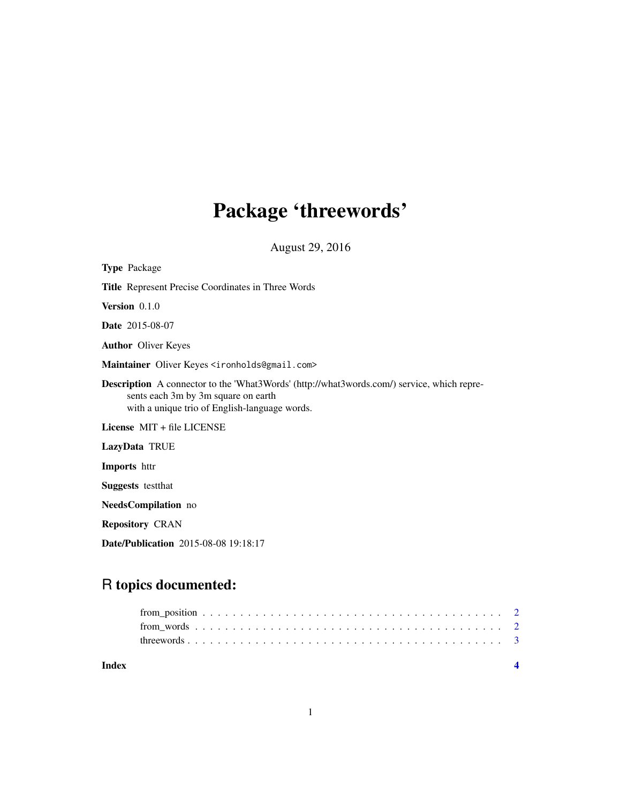# Package 'threewords'

August 29, 2016

| <b>Type Package</b>                                                                                                                                                                       |
|-------------------------------------------------------------------------------------------------------------------------------------------------------------------------------------------|
| <b>Title</b> Represent Precise Coordinates in Three Words                                                                                                                                 |
| Version $0.1.0$                                                                                                                                                                           |
| <b>Date</b> 2015-08-07                                                                                                                                                                    |
| <b>Author</b> Oliver Keyes                                                                                                                                                                |
| Maintainer Oliver Keyes <ironholds@gmail.com></ironholds@gmail.com>                                                                                                                       |
| <b>Description</b> A connector to the 'What3Words' (http://what3words.com/) service, which repre-<br>sents each 3m by 3m square on earth<br>with a unique trio of English-language words. |
| License MIT + file LICENSE                                                                                                                                                                |
| LazyData TRUE                                                                                                                                                                             |
| <b>Imports</b> httr                                                                                                                                                                       |
| <b>Suggests</b> testthat                                                                                                                                                                  |
| NeedsCompilation no                                                                                                                                                                       |
| <b>Repository CRAN</b>                                                                                                                                                                    |
| <b>Date/Publication</b> 2015-08-08 19:18:17                                                                                                                                               |

# R topics documented:

| Index |  |  |  |  |  |  |  |  |  |  |  |  |  |  |  |  |  |  |  |
|-------|--|--|--|--|--|--|--|--|--|--|--|--|--|--|--|--|--|--|--|
|       |  |  |  |  |  |  |  |  |  |  |  |  |  |  |  |  |  |  |  |
|       |  |  |  |  |  |  |  |  |  |  |  |  |  |  |  |  |  |  |  |
|       |  |  |  |  |  |  |  |  |  |  |  |  |  |  |  |  |  |  |  |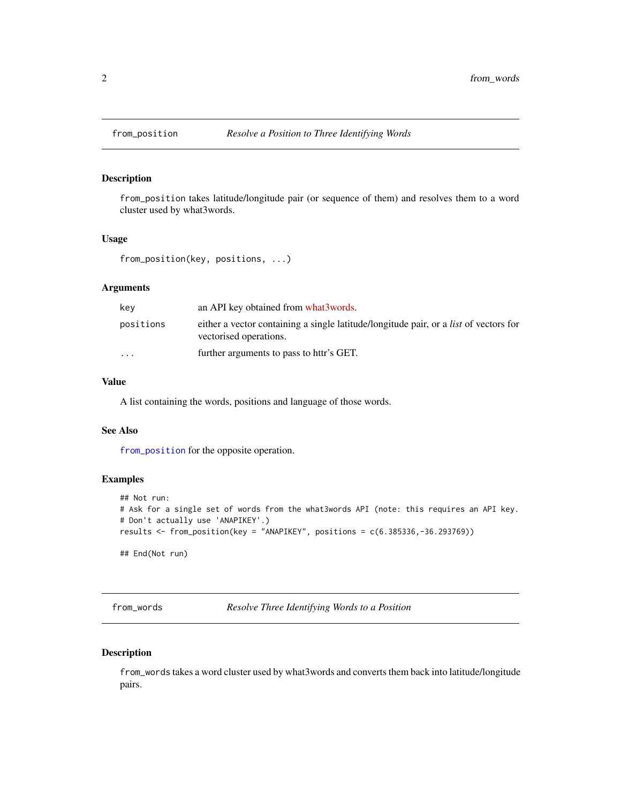<span id="page-1-1"></span><span id="page-1-0"></span>

# Description

from\_position takes latitude/longitude pair (or sequence of them) and resolves them to a word cluster used by what3words.

# Usage

```
from_position(key, positions, ...)
```
#### Arguments

| kev                     | an API key obtained from what3words.                                                                                   |
|-------------------------|------------------------------------------------------------------------------------------------------------------------|
| positions               | either a vector containing a single latitude/longitude pair, or a <i>list</i> of vectors for<br>vectorised operations. |
| $\cdot$ $\cdot$ $\cdot$ | further arguments to pass to httr's GET.                                                                               |

#### Value

A list containing the words, positions and language of those words.

#### See Also

[from\\_position](#page-1-1) for the opposite operation.

# Examples

```
## Not run:
# Ask for a single set of words from the what3words API (note: this requires an API key.
# Don't actually use 'ANAPIKEY'.)
results <- from_position(key = "ANAPIKEY", positions = c(6.385336,-36.293769))
## End(Not run)
```
from\_words *Resolve Three Identifying Words to a Position*

# Description

from\_words takes a word cluster used by what3words and converts them back into latitude/longitude pairs.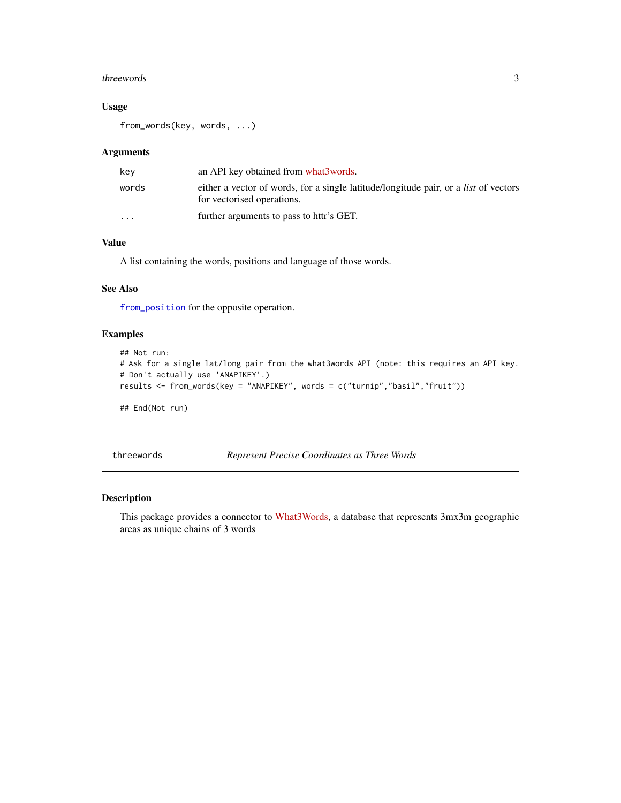#### <span id="page-2-0"></span>threewords 3

# Usage

from\_words(key, words, ...)

### Arguments

| kev                     | an API key obtained from what3words.                                                                                      |
|-------------------------|---------------------------------------------------------------------------------------------------------------------------|
| words                   | either a vector of words, for a single latitude/longitude pair, or a <i>list</i> of vectors<br>for vectorised operations. |
| $\cdot$ $\cdot$ $\cdot$ | further arguments to pass to httr's GET.                                                                                  |

# Value

A list containing the words, positions and language of those words.

#### See Also

[from\\_position](#page-1-1) for the opposite operation.

# Examples

```
## Not run:
# Ask for a single lat/long pair from the what3words API (note: this requires an API key.
# Don't actually use 'ANAPIKEY'.)
results <- from_words(key = "ANAPIKEY", words = c("turnip","basil","fruit"))
```
## End(Not run)

threewords *Represent Precise Coordinates as Three Words*

### Description

This package provides a connector to [What3Words,](http://what3words.com/) a database that represents 3mx3m geographic areas as unique chains of 3 words